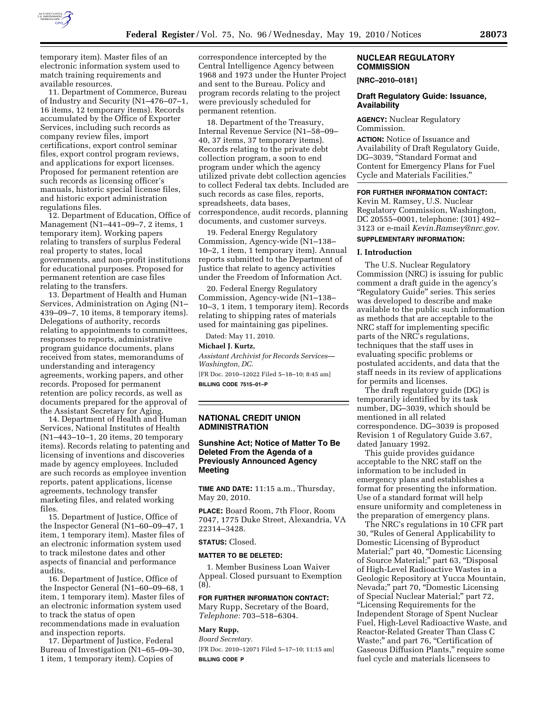

temporary item). Master files of an electronic information system used to match training requirements and available resources.

11. Department of Commerce, Bureau of Industry and Security (N1–476–07–1, 16 items, 12 temporary items). Records accumulated by the Office of Exporter Services, including such records as company review files, import certifications, export control seminar files, export control program reviews, and applications for export licenses. Proposed for permanent retention are such records as licensing officer's manuals, historic special license files, and historic export administration regulations files.

12. Department of Education, Office of Management (N1–441–09–7, 2 items, 1 temporary item). Working papers relating to transfers of surplus Federal real property to states, local governments, and non-profit institutions for educational purposes. Proposed for permanent retention are case files relating to the transfers.

13. Department of Health and Human Services, Administration on Aging (N1– 439–09–7, 10 items, 8 temporary items). Delegations of authority, records relating to appointments to committees, responses to reports, administrative program guidance documents, plans received from states, memorandums of understanding and interagency agreements, working papers, and other records. Proposed for permanent retention are policy records, as well as documents prepared for the approval of the Assistant Secretary for Aging.

14. Department of Health and Human Services, National Institutes of Health (N1–443–10–1, 20 items, 20 temporary items). Records relating to patenting and licensing of inventions and discoveries made by agency employees. Included are such records as employee invention reports, patent applications, license agreements, technology transfer marketing files, and related working files.

15. Department of Justice, Office of the Inspector General (N1–60–09–47, 1 item, 1 temporary item). Master files of an electronic information system used to track milestone dates and other aspects of financial and performance audits.

16. Department of Justice, Office of the Inspector General (N1–60–09–68, 1 item, 1 temporary item). Master files of an electronic information system used to track the status of open recommendations made in evaluation and inspection reports.

17. Department of Justice, Federal Bureau of Investigation (N1–65–09–30, 1 item, 1 temporary item). Copies of

correspondence intercepted by the Central Intelligence Agency between 1968 and 1973 under the Hunter Project and sent to the Bureau. Policy and program records relating to the project were previously scheduled for permanent retention.

18. Department of the Treasury, Internal Revenue Service (N1–58–09– 40, 37 items, 37 temporary items). Records relating to the private debt collection program, a soon to end program under which the agency utilized private debt collection agencies to collect Federal tax debts. Included are such records as case files, reports, spreadsheets, data bases, correspondence, audit records, planning documents, and customer surveys.

19. Federal Energy Regulatory Commission, Agency-wide (N1–138– 10–2, 1 item, 1 temporary item). Annual reports submitted to the Department of Justice that relate to agency activities under the Freedom of Information Act.

20. Federal Energy Regulatory Commission, Agency-wide (N1–138– 10–3, 1 item, 1 temporary item). Records relating to shipping rates of materials used for maintaining gas pipelines.

Dated: May 11, 2010.

#### **Michael J. Kurtz,**

*Assistant Archivist for Records Services— Washington, DC.* 

[FR Doc. 2010–12022 Filed 5–18–10; 8:45 am] **BILLING CODE 7515–01–P** 

### **NATIONAL CREDIT UNION ADMINISTRATION**

### **Sunshine Act; Notice of Matter To Be Deleted From the Agenda of a Previously Announced Agency Meeting**

**TIME AND DATE:** 11:15 a.m., Thursday, May 20, 2010.

**PLACE:** Board Room, 7th Floor, Room 7047, 1775 Duke Street, Alexandria, VA 22314–3428.

### **STATUS:** Closed.

#### **MATTER TO BE DELETED:**

1. Member Business Loan Waiver Appeal. Closed pursuant to Exemption (8).

**FOR FURTHER INFORMATION CONTACT:**  Mary Rupp, Secretary of the Board, *Telephone:* 703–518–6304.

### **Mary Rupp,**

*Board Secretary.* 

[FR Doc. 2010–12071 Filed 5–17–10; 11:15 am] **BILLING CODE P** 

### **NUCLEAR REGULATORY COMMISSION**

#### **[NRC–2010–0181]**

#### **Draft Regulatory Guide: Issuance, Availability**

**AGENCY:** Nuclear Regulatory Commission.

**ACTION:** Notice of Issuance and Availability of Draft Regulatory Guide, DG–3039, ''Standard Format and Content for Emergency Plans for Fuel Cycle and Materials Facilities.''

#### **FOR FURTHER INFORMATION CONTACT:**  Kevin M. Ramsey, U.S. Nuclear

Regulatory Commission, Washington, DC 20555–0001, telephone: (301) 492– 3123 or e-mail *Kevin.Ramsey@nrc.gov.* 

# **SUPPLEMENTARY INFORMATION:**

#### **I. Introduction**

The U.S. Nuclear Regulatory Commission (NRC) is issuing for public comment a draft guide in the agency's "Regulatory Guide" series. This series was developed to describe and make available to the public such information as methods that are acceptable to the NRC staff for implementing specific parts of the NRC's regulations, techniques that the staff uses in evaluating specific problems or postulated accidents, and data that the staff needs in its review of applications for permits and licenses.

The draft regulatory guide (DG) is temporarily identified by its task number, DG–3039, which should be mentioned in all related correspondence. DG–3039 is proposed Revision 1 of Regulatory Guide 3.67, dated January 1992.

This guide provides guidance acceptable to the NRC staff on the information to be included in emergency plans and establishes a format for presenting the information. Use of a standard format will help ensure uniformity and completeness in the preparation of emergency plans.

The NRC's regulations in 10 CFR part 30, ''Rules of General Applicability to Domestic Licensing of Byproduct Material;" part 40, "Domestic Licensing of Source Material;" part 63, "Disposal of High-Level Radioactive Wastes in a Geologic Repository at Yucca Mountain, Nevada;" part 70, "Domestic Licensing of Special Nuclear Material;'' part 72, ''Licensing Requirements for the Independent Storage of Spent Nuclear Fuel, High-Level Radioactive Waste, and Reactor-Related Greater Than Class C Waste;" and part 76, "Certification of Gaseous Diffusion Plants,'' require some fuel cycle and materials licensees to